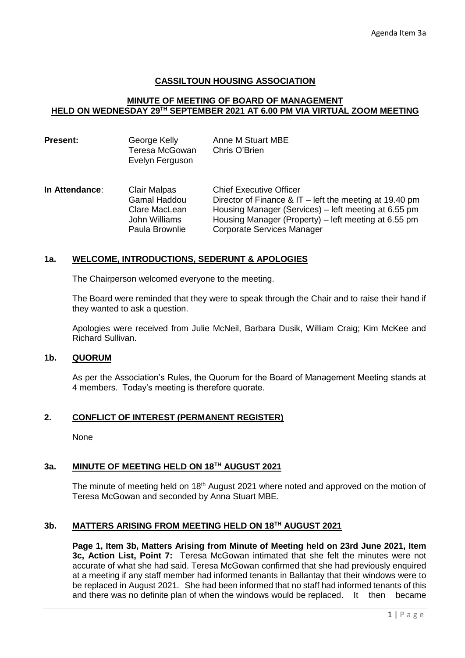# **CASSILTOUN HOUSING ASSOCIATION**

# **MINUTE OF MEETING OF BOARD OF MANAGEMENT HELD ON WEDNESDAY 29TH SEPTEMBER 2021 AT 6.00 PM VIA VIRTUAL ZOOM MEETING**

| <b>Present:</b> | George Kelly<br>Teresa McGowan<br>Evelyn Ferguson                                              | Anne M Stuart MBE<br>Chris O'Brien                                                                                                                                                                                                             |  |  |
|-----------------|------------------------------------------------------------------------------------------------|------------------------------------------------------------------------------------------------------------------------------------------------------------------------------------------------------------------------------------------------|--|--|
| In Attendance:  | <b>Clair Malpas</b><br><b>Gamal Haddou</b><br>Clare MacLean<br>John Williams<br>Paula Brownlie | <b>Chief Executive Officer</b><br>Director of Finance & IT – left the meeting at 19.40 pm<br>Housing Manager (Services) - left meeting at 6.55 pm<br>Housing Manager (Property) – left meeting at 6.55 pm<br><b>Corporate Services Manager</b> |  |  |

#### **1a. WELCOME, INTRODUCTIONS, SEDERUNT & APOLOGIES**

The Chairperson welcomed everyone to the meeting.

The Board were reminded that they were to speak through the Chair and to raise their hand if they wanted to ask a question.

Apologies were received from Julie McNeil, Barbara Dusik, William Craig; Kim McKee and Richard Sullivan.

#### **1b. QUORUM**

As per the Association's Rules, the Quorum for the Board of Management Meeting stands at 4 members. Today's meeting is therefore quorate.

# **2. CONFLICT OF INTEREST (PERMANENT REGISTER)**

**None** 

# **3a. MINUTE OF MEETING HELD ON 18TH AUGUST 2021**

The minute of meeting held on 18<sup>th</sup> August 2021 where noted and approved on the motion of Teresa McGowan and seconded by Anna Stuart MBE.

#### **3b. MATTERS ARISING FROM MEETING HELD ON 18TH AUGUST 2021**

**Page 1, Item 3b, Matters Arising from Minute of Meeting held on 23rd June 2021, Item 3c, Action List, Point 7:** Teresa McGowan intimated that she felt the minutes were not accurate of what she had said. Teresa McGowan confirmed that she had previously enquired at a meeting if any staff member had informed tenants in Ballantay that their windows were to be replaced in August 2021. She had been informed that no staff had informed tenants of this and there was no definite plan of when the windows would be replaced. It then became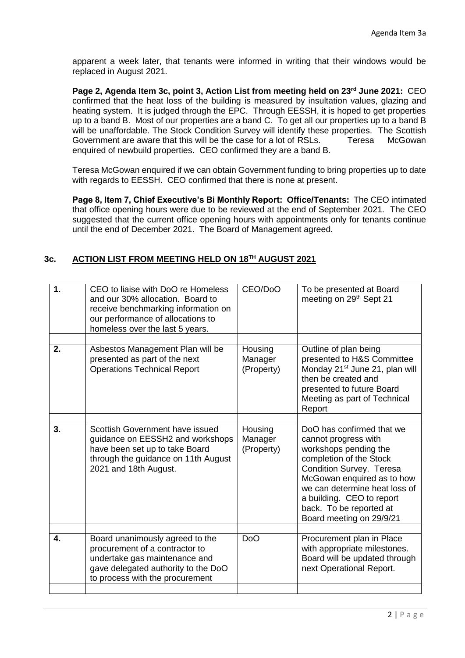apparent a week later, that tenants were informed in writing that their windows would be replaced in August 2021.

**Page 2, Agenda Item 3c, point 3, Action List from meeting held on 23rd June 2021:** CEO confirmed that the heat loss of the building is measured by insultation values, glazing and heating system. It is judged through the EPC. Through EESSH, it is hoped to get properties up to a band B. Most of our properties are a band C. To get all our properties up to a band B will be unaffordable. The Stock Condition Survey will identify these properties. The Scottish Government are aware that this will be the case for a lot of RSLs. Teresa McGowan enquired of newbuild properties. CEO confirmed they are a band B.

Teresa McGowan enquired if we can obtain Government funding to bring properties up to date with regards to EESSH. CEO confirmed that there is none at present.

**Page 8, Item 7, Chief Executive's Bi Monthly Report: Office/Tenants:** The CEO intimated that office opening hours were due to be reviewed at the end of September 2021. The CEO suggested that the current office opening hours with appointments only for tenants continue until the end of December 2021. The Board of Management agreed.

# **3c. ACTION LIST FROM MEETING HELD ON 18TH AUGUST 2021**

| 1. | CEO to liaise with DoO re Homeless<br>and our 30% allocation. Board to<br>receive benchmarking information on<br>our performance of allocations to<br>homeless over the last 5 years. | CEO/DoO                          | To be presented at Board<br>meeting on 29 <sup>th</sup> Sept 21                                                                                                                                                                                                                      |
|----|---------------------------------------------------------------------------------------------------------------------------------------------------------------------------------------|----------------------------------|--------------------------------------------------------------------------------------------------------------------------------------------------------------------------------------------------------------------------------------------------------------------------------------|
| 2. | Asbestos Management Plan will be<br>presented as part of the next<br><b>Operations Technical Report</b>                                                                               | Housing<br>Manager<br>(Property) | Outline of plan being<br>presented to H&S Committee<br>Monday 21 <sup>st</sup> June 21, plan will<br>then be created and<br>presented to future Board<br>Meeting as part of Technical<br>Report                                                                                      |
| 3. | Scottish Government have issued<br>guidance on EESSH2 and workshops<br>have been set up to take Board<br>through the guidance on 11th August<br>2021 and 18th August.                 | Housing<br>Manager<br>(Property) | DoO has confirmed that we<br>cannot progress with<br>workshops pending the<br>completion of the Stock<br>Condition Survey. Teresa<br>McGowan enquired as to how<br>we can determine heat loss of<br>a building. CEO to report<br>back. To be reported at<br>Board meeting on 29/9/21 |
| 4. | Board unanimously agreed to the<br>procurement of a contractor to<br>undertake gas maintenance and<br>gave delegated authority to the DoO<br>to process with the procurement          | D <sub>o</sub> O                 | Procurement plan in Place<br>with appropriate milestones.<br>Board will be updated through<br>next Operational Report.                                                                                                                                                               |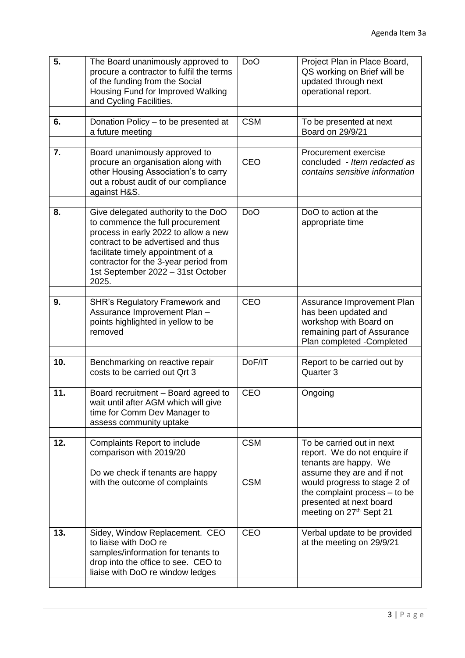| 5.  | The Board unanimously approved to<br>procure a contractor to fulfil the terms<br>of the funding from the Social<br>Housing Fund for Improved Walking<br>and Cycling Facilities.                                                                                                    | D <sub>o</sub> O         | Project Plan in Place Board,<br>QS working on Brief will be<br>updated through next<br>operational report.                                                                                                                                |
|-----|------------------------------------------------------------------------------------------------------------------------------------------------------------------------------------------------------------------------------------------------------------------------------------|--------------------------|-------------------------------------------------------------------------------------------------------------------------------------------------------------------------------------------------------------------------------------------|
| 6.  | Donation Policy - to be presented at<br>a future meeting                                                                                                                                                                                                                           | <b>CSM</b>               | To be presented at next<br>Board on 29/9/21                                                                                                                                                                                               |
| 7.  | Board unanimously approved to<br>procure an organisation along with<br>other Housing Association's to carry<br>out a robust audit of our compliance<br>against H&S.                                                                                                                | <b>CEO</b>               | Procurement exercise<br>concluded - Item redacted as<br>contains sensitive information                                                                                                                                                    |
| 8.  | Give delegated authority to the DoO<br>to commence the full procurement<br>process in early 2022 to allow a new<br>contract to be advertised and thus<br>facilitate timely appointment of a<br>contractor for the 3-year period from<br>1st September 2022 - 31st October<br>2025. | <b>DoO</b>               | DoO to action at the<br>appropriate time                                                                                                                                                                                                  |
| 9.  | <b>SHR's Regulatory Framework and</b><br>Assurance Improvement Plan -<br>points highlighted in yellow to be<br>removed                                                                                                                                                             | <b>CEO</b>               | Assurance Improvement Plan<br>has been updated and<br>workshop with Board on<br>remaining part of Assurance<br>Plan completed -Completed                                                                                                  |
| 10. | Benchmarking on reactive repair<br>costs to be carried out Qrt 3                                                                                                                                                                                                                   | DoF/IT                   | Report to be carried out by<br>Quarter 3                                                                                                                                                                                                  |
| 11. | Board recruitment - Board agreed to<br>wait until after AGM which will give<br>time for Comm Dev Manager to<br>assess community uptake                                                                                                                                             | <b>CEO</b>               | Ongoing                                                                                                                                                                                                                                   |
| 12. | Complaints Report to include<br>comparison with 2019/20<br>Do we check if tenants are happy<br>with the outcome of complaints                                                                                                                                                      | <b>CSM</b><br><b>CSM</b> | To be carried out in next<br>report. We do not enquire if<br>tenants are happy. We<br>assume they are and if not<br>would progress to stage 2 of<br>the complaint process $-$ to be<br>presented at next board<br>meeting on 27th Sept 21 |
| 13. | Sidey, Window Replacement. CEO<br>to liaise with DoO re<br>samples/information for tenants to<br>drop into the office to see. CEO to<br>liaise with DoO re window ledges                                                                                                           | <b>CEO</b>               | Verbal update to be provided<br>at the meeting on 29/9/21                                                                                                                                                                                 |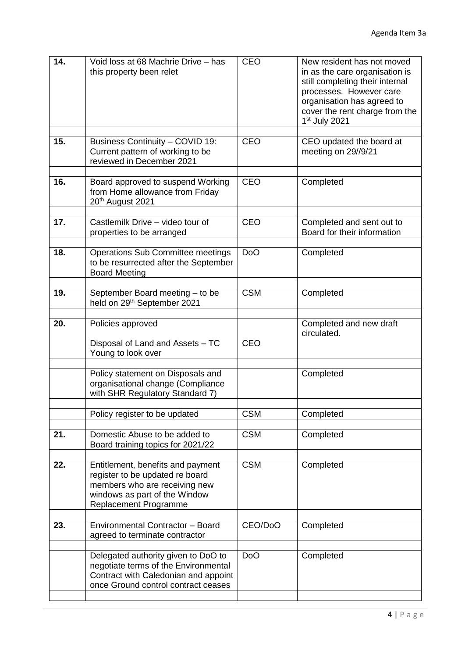| 14. | Void loss at 68 Machrie Drive - has<br>this property been relet                                                                                                        | <b>CEO</b> | New resident has not moved<br>in as the care organisation is<br>still completing their internal<br>processes. However care<br>organisation has agreed to<br>cover the rent charge from the<br>1 <sup>st</sup> July 2021 |
|-----|------------------------------------------------------------------------------------------------------------------------------------------------------------------------|------------|-------------------------------------------------------------------------------------------------------------------------------------------------------------------------------------------------------------------------|
| 15. | Business Continuity - COVID 19:<br>Current pattern of working to be<br>reviewed in December 2021                                                                       | <b>CEO</b> | CEO updated the board at<br>meeting on 29//9/21                                                                                                                                                                         |
| 16. | Board approved to suspend Working<br>from Home allowance from Friday<br>20 <sup>th</sup> August 2021                                                                   | <b>CEO</b> | Completed                                                                                                                                                                                                               |
| 17. | Castlemilk Drive - video tour of<br>properties to be arranged                                                                                                          | <b>CEO</b> | Completed and sent out to<br>Board for their information                                                                                                                                                                |
| 18. | <b>Operations Sub Committee meetings</b><br>to be resurrected after the September<br><b>Board Meeting</b>                                                              | <b>DoO</b> | Completed                                                                                                                                                                                                               |
| 19. | September Board meeting - to be<br>held on 29 <sup>th</sup> September 2021                                                                                             | <b>CSM</b> | Completed                                                                                                                                                                                                               |
| 20. | Policies approved<br>Disposal of Land and Assets - TC<br>Young to look over                                                                                            | <b>CEO</b> | Completed and new draft<br>circulated.                                                                                                                                                                                  |
|     | Policy statement on Disposals and<br>organisational change (Compliance<br>with SHR Regulatory Standard 7)                                                              |            | Completed                                                                                                                                                                                                               |
|     | Policy register to be updated                                                                                                                                          | <b>CSM</b> | Completed                                                                                                                                                                                                               |
| 21. | Domestic Abuse to be added to<br>Board training topics for 2021/22                                                                                                     | <b>CSM</b> | Completed                                                                                                                                                                                                               |
| 22. | Entitlement, benefits and payment<br>register to be updated re board<br>members who are receiving new<br>windows as part of the Window<br><b>Replacement Programme</b> | <b>CSM</b> | Completed                                                                                                                                                                                                               |
| 23. | Environmental Contractor - Board<br>agreed to terminate contractor                                                                                                     | CEO/DoO    | Completed                                                                                                                                                                                                               |
|     | Delegated authority given to DoO to<br>negotiate terms of the Environmental<br>Contract with Caledonian and appoint<br>once Ground control contract ceases             | <b>DoO</b> | Completed                                                                                                                                                                                                               |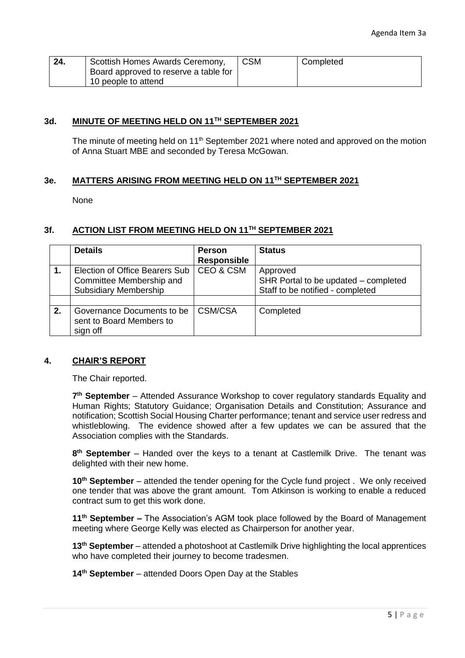| 24. | Scottish Homes Awards Ceremony,<br>Board approved to reserve a table for | <b>CSM</b> | Completed |
|-----|--------------------------------------------------------------------------|------------|-----------|
|     | 10 people to attend                                                      |            |           |

# **3d. MINUTE OF MEETING HELD ON 11TH SEPTEMBER 2021**

The minute of meeting held on 11<sup>th</sup> September 2021 where noted and approved on the motion of Anna Stuart MBE and seconded by Teresa McGowan.

# **3e. MATTERS ARISING FROM MEETING HELD ON 11TH SEPTEMBER 2021**

None

## **3f. ACTION LIST FROM MEETING HELD ON 11TH SEPTEMBER 2021**

|    | <b>Details</b>                 | <b>Person</b>      | <b>Status</b>                        |
|----|--------------------------------|--------------------|--------------------------------------|
|    |                                | <b>Responsible</b> |                                      |
|    | Election of Office Bearers Sub | CEO & CSM          | Approved                             |
|    | Committee Membership and       |                    | SHR Portal to be updated – completed |
|    | <b>Subsidiary Membership</b>   |                    | Staff to be notified - completed     |
|    |                                |                    |                                      |
| 2. | Governance Documents to be     | CSM/CSA            | Completed                            |
|    | sent to Board Members to       |                    |                                      |
|    | sign off                       |                    |                                      |

#### **4. CHAIR'S REPORT**

The Chair reported.

7<sup>th</sup> September – Attended Assurance Workshop to cover regulatory standards Equality and Human Rights; Statutory Guidance; Organisation Details and Constitution; Assurance and notification; Scottish Social Housing Charter performance; tenant and service user redress and whistleblowing. The evidence showed after a few updates we can be assured that the Association complies with the Standards.

**8 th September** – Handed over the keys to a tenant at Castlemilk Drive. The tenant was delighted with their new home.

**10th September** – attended the tender opening for the Cycle fund project . We only received one tender that was above the grant amount. Tom Atkinson is working to enable a reduced contract sum to get this work done.

**11th September –** The Association's AGM took place followed by the Board of Management meeting where George Kelly was elected as Chairperson for another year.

**13th September** – attended a photoshoot at Castlemilk Drive highlighting the local apprentices who have completed their journey to become tradesmen.

**14th September** – attended Doors Open Day at the Stables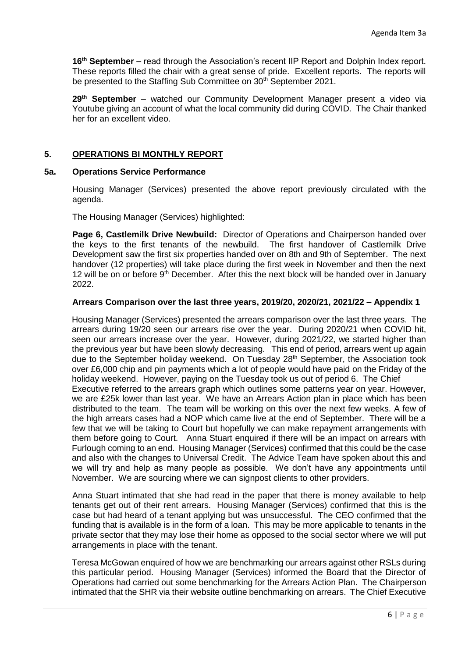**16th September –** read through the Association's recent IIP Report and Dolphin Index report. These reports filled the chair with a great sense of pride. Excellent reports. The reports will be presented to the Staffing Sub Committee on 30<sup>th</sup> September 2021.

**29th September** – watched our Community Development Manager present a video via Youtube giving an account of what the local community did during COVID. The Chair thanked her for an excellent video.

# **5. OPERATIONS BI MONTHLY REPORT**

#### **5a. Operations Service Performance**

Housing Manager (Services) presented the above report previously circulated with the agenda.

The Housing Manager (Services) highlighted:

**Page 6, Castlemilk Drive Newbuild:** Director of Operations and Chairperson handed over the keys to the first tenants of the newbuild. The first handover of Castlemilk Drive Development saw the first six properties handed over on 8th and 9th of September. The next handover (12 properties) will take place during the first week in November and then the next 12 will be on or before 9<sup>th</sup> December. After this the next block will be handed over in January 2022.

#### **Arrears Comparison over the last three years, 2019/20, 2020/21, 2021/22 – Appendix 1**

Housing Manager (Services) presented the arrears comparison over the last three years. The arrears during 19/20 seen our arrears rise over the year. During 2020/21 when COVID hit, seen our arrears increase over the year. However, during 2021/22, we started higher than the previous year but have been slowly decreasing. This end of period, arrears went up again due to the September holiday weekend. On Tuesday  $28<sup>th</sup>$  September, the Association took over £6,000 chip and pin payments which a lot of people would have paid on the Friday of the holiday weekend. However, paying on the Tuesday took us out of period 6. The Chief Executive referred to the arrears graph which outlines some patterns year on year. However, we are £25k lower than last year. We have an Arrears Action plan in place which has been distributed to the team. The team will be working on this over the next few weeks. A few of the high arrears cases had a NOP which came live at the end of September. There will be a few that we will be taking to Court but hopefully we can make repayment arrangements with them before going to Court. Anna Stuart enquired if there will be an impact on arrears with Furlough coming to an end. Housing Manager (Services) confirmed that this could be the case and also with the changes to Universal Credit. The Advice Team have spoken about this and we will try and help as many people as possible. We don't have any appointments until November. We are sourcing where we can signpost clients to other providers.

Anna Stuart intimated that she had read in the paper that there is money available to help tenants get out of their rent arrears. Housing Manager (Services) confirmed that this is the case but had heard of a tenant applying but was unsuccessful. The CEO confirmed that the funding that is available is in the form of a loan. This may be more applicable to tenants in the private sector that they may lose their home as opposed to the social sector where we will put arrangements in place with the tenant.

Teresa McGowan enquired of how we are benchmarking our arrears against other RSLs during this particular period. Housing Manager (Services) informed the Board that the Director of Operations had carried out some benchmarking for the Arrears Action Plan. The Chairperson intimated that the SHR via their website outline benchmarking on arrears. The Chief Executive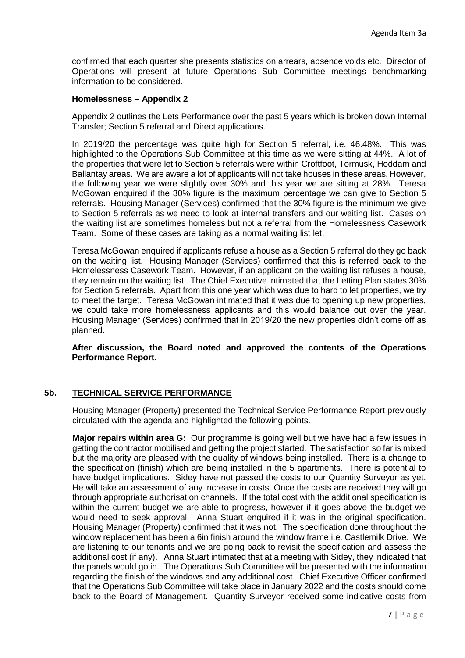confirmed that each quarter she presents statistics on arrears, absence voids etc. Director of Operations will present at future Operations Sub Committee meetings benchmarking information to be considered.

## **Homelessness – Appendix 2**

Appendix 2 outlines the Lets Performance over the past 5 years which is broken down Internal Transfer; Section 5 referral and Direct applications.

In 2019/20 the percentage was quite high for Section 5 referral, i.e. 46.48%. This was highlighted to the Operations Sub Committee at this time as we were sitting at 44%. A lot of the properties that were let to Section 5 referrals were within Croftfoot, Tormusk, Hoddam and Ballantay areas. We are aware a lot of applicants will not take houses in these areas. However, the following year we were slightly over 30% and this year we are sitting at 28%. Teresa McGowan enquired if the 30% figure is the maximum percentage we can give to Section 5 referrals. Housing Manager (Services) confirmed that the 30% figure is the minimum we give to Section 5 referrals as we need to look at internal transfers and our waiting list. Cases on the waiting list are sometimes homeless but not a referral from the Homelessness Casework Team. Some of these cases are taking as a normal waiting list let.

Teresa McGowan enquired if applicants refuse a house as a Section 5 referral do they go back on the waiting list. Housing Manager (Services) confirmed that this is referred back to the Homelessness Casework Team. However, if an applicant on the waiting list refuses a house, they remain on the waiting list. The Chief Executive intimated that the Letting Plan states 30% for Section 5 referrals. Apart from this one year which was due to hard to let properties, we try to meet the target. Teresa McGowan intimated that it was due to opening up new properties, we could take more homelessness applicants and this would balance out over the year. Housing Manager (Services) confirmed that in 2019/20 the new properties didn't come off as planned.

**After discussion, the Board noted and approved the contents of the Operations Performance Report.**

# **5b. TECHNICAL SERVICE PERFORMANCE**

Housing Manager (Property) presented the Technical Service Performance Report previously circulated with the agenda and highlighted the following points.

**Major repairs within area G:** Our programme is going well but we have had a few issues in getting the contractor mobilised and getting the project started. The satisfaction so far is mixed but the majority are pleased with the quality of windows being installed. There is a change to the specification (finish) which are being installed in the 5 apartments. There is potential to have budget implications. Sidey have not passed the costs to our Quantity Surveyor as yet. He will take an assessment of any increase in costs. Once the costs are received they will go through appropriate authorisation channels. If the total cost with the additional specification is within the current budget we are able to progress, however if it goes above the budget we would need to seek approval. Anna Stuart enquired if it was in the original specification. Housing Manager (Property) confirmed that it was not. The specification done throughout the window replacement has been a 6in finish around the window frame i.e. Castlemilk Drive. We are listening to our tenants and we are going back to revisit the specification and assess the additional cost (if any). Anna Stuart intimated that at a meeting with Sidey, they indicated that the panels would go in. The Operations Sub Committee will be presented with the information regarding the finish of the windows and any additional cost. Chief Executive Officer confirmed that the Operations Sub Committee will take place in January 2022 and the costs should come back to the Board of Management. Quantity Surveyor received some indicative costs from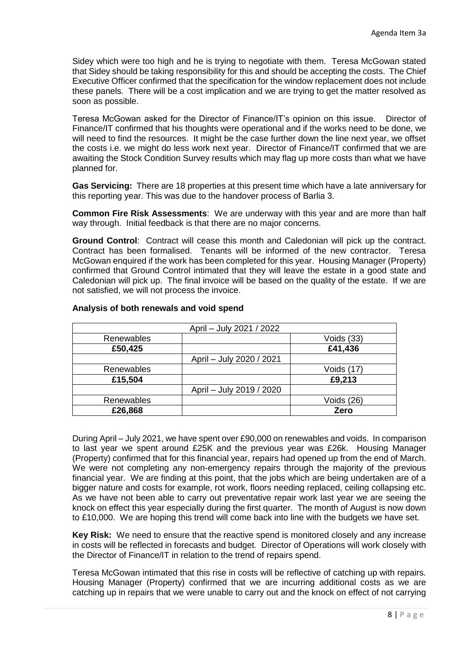Sidey which were too high and he is trying to negotiate with them. Teresa McGowan stated that Sidey should be taking responsibility for this and should be accepting the costs. The Chief Executive Officer confirmed that the specification for the window replacement does not include these panels. There will be a cost implication and we are trying to get the matter resolved as soon as possible.

Teresa McGowan asked for the Director of Finance/IT's opinion on this issue. Director of Finance/IT confirmed that his thoughts were operational and if the works need to be done, we will need to find the resources. It might be the case further down the line next year, we offset the costs i.e. we might do less work next year. Director of Finance/IT confirmed that we are awaiting the Stock Condition Survey results which may flag up more costs than what we have planned for.

**Gas Servicing:** There are 18 properties at this present time which have a late anniversary for this reporting year. This was due to the handover process of Barlia 3.

**Common Fire Risk Assessments**: We are underway with this year and are more than half way through. Initial feedback is that there are no major concerns.

**Ground Control**: Contract will cease this month and Caledonian will pick up the contract. Contract has been formalised. Tenants will be informed of the new contractor. Teresa McGowan enquired if the work has been completed for this year. Housing Manager (Property) confirmed that Ground Control intimated that they will leave the estate in a good state and Caledonian will pick up. The final invoice will be based on the quality of the estate. If we are not satisfied, we will not process the invoice.

|            | April - July 2021 / 2022 |            |
|------------|--------------------------|------------|
| Renewables |                          | Voids (33) |
| £50,425    |                          | £41,436    |
|            | April - July 2020 / 2021 |            |
| Renewables |                          | Voids (17) |
| £15,504    |                          | £9,213     |
|            | April - July 2019 / 2020 |            |
| Renewables |                          | Voids (26) |
| £26,868    |                          | Zero       |

# **Analysis of both renewals and void spend**

During April – July 2021, we have spent over £90,000 on renewables and voids. In comparison to last year we spent around £25K and the previous year was £26k. Housing Manager (Property) confirmed that for this financial year, repairs had opened up from the end of March. We were not completing any non-emergency repairs through the majority of the previous financial year. We are finding at this point, that the jobs which are being undertaken are of a bigger nature and costs for example, rot work, floors needing replaced, ceiling collapsing etc. As we have not been able to carry out preventative repair work last year we are seeing the knock on effect this year especially during the first quarter. The month of August is now down to £10,000. We are hoping this trend will come back into line with the budgets we have set.

**Key Risk:** We need to ensure that the reactive spend is monitored closely and any increase in costs will be reflected in forecasts and budget. Director of Operations will work closely with the Director of Finance/IT in relation to the trend of repairs spend.

Teresa McGowan intimated that this rise in costs will be reflective of catching up with repairs. Housing Manager (Property) confirmed that we are incurring additional costs as we are catching up in repairs that we were unable to carry out and the knock on effect of not carrying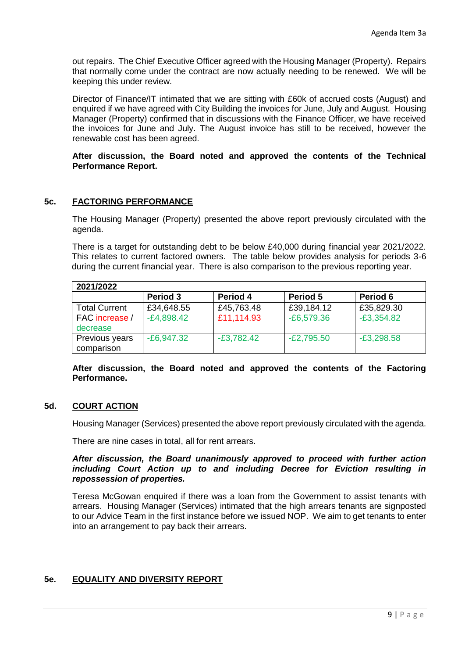out repairs. The Chief Executive Officer agreed with the Housing Manager (Property). Repairs that normally come under the contract are now actually needing to be renewed. We will be keeping this under review.

Director of Finance/IT intimated that we are sitting with £60k of accrued costs (August) and enquired if we have agreed with City Building the invoices for June, July and August. Housing Manager (Property) confirmed that in discussions with the Finance Officer, we have received the invoices for June and July. The August invoice has still to be received, however the renewable cost has been agreed.

## **After discussion, the Board noted and approved the contents of the Technical Performance Report.**

# **5c. FACTORING PERFORMANCE**

The Housing Manager (Property) presented the above report previously circulated with the agenda.

There is a target for outstanding debt to be below £40,000 during financial year 2021/2022. This relates to current factored owners. The table below provides analysis for periods 3-6 during the current financial year. There is also comparison to the previous reporting year.

| 2021/2022            |              |              |              |              |  |
|----------------------|--------------|--------------|--------------|--------------|--|
|                      | Period 3     | Period 4     | Period 5     | Period 6     |  |
| <b>Total Current</b> | £34,648.55   | £45,763.48   | £39,184.12   | £35,829.30   |  |
| FAC increase /       | $-E4,898.42$ | £11,114.93   | $-E6,579.36$ | $-E3,354.82$ |  |
| decrease             |              |              |              |              |  |
| Previous years       | $-E6,947.32$ | $-E3,782.42$ | $-E2,795.50$ | $-E3,298.58$ |  |
| comparison           |              |              |              |              |  |

**After discussion, the Board noted and approved the contents of the Factoring Performance.**

# **5d. COURT ACTION**

Housing Manager (Services) presented the above report previously circulated with the agenda.

There are nine cases in total, all for rent arrears.

#### *After discussion, the Board unanimously approved to proceed with further action including Court Action up to and including Decree for Eviction resulting in repossession of properties.*

Teresa McGowan enquired if there was a loan from the Government to assist tenants with arrears. Housing Manager (Services) intimated that the high arrears tenants are signposted to our Advice Team in the first instance before we issued NOP. We aim to get tenants to enter into an arrangement to pay back their arrears.

# **5e. EQUALITY AND DIVERSITY REPORT**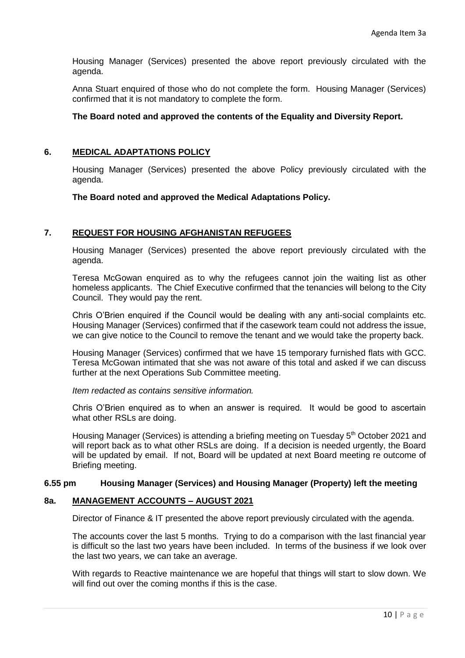Housing Manager (Services) presented the above report previously circulated with the agenda.

Anna Stuart enquired of those who do not complete the form. Housing Manager (Services) confirmed that it is not mandatory to complete the form.

## **The Board noted and approved the contents of the Equality and Diversity Report.**

## **6. MEDICAL ADAPTATIONS POLICY**

Housing Manager (Services) presented the above Policy previously circulated with the agenda.

#### **The Board noted and approved the Medical Adaptations Policy.**

#### **7. REQUEST FOR HOUSING AFGHANISTAN REFUGEES**

Housing Manager (Services) presented the above report previously circulated with the agenda.

Teresa McGowan enquired as to why the refugees cannot join the waiting list as other homeless applicants. The Chief Executive confirmed that the tenancies will belong to the City Council. They would pay the rent.

Chris O'Brien enquired if the Council would be dealing with any anti-social complaints etc. Housing Manager (Services) confirmed that if the casework team could not address the issue, we can give notice to the Council to remove the tenant and we would take the property back.

Housing Manager (Services) confirmed that we have 15 temporary furnished flats with GCC. Teresa McGowan intimated that she was not aware of this total and asked if we can discuss further at the next Operations Sub Committee meeting.

*Item redacted as contains sensitive information.*

Chris O'Brien enquired as to when an answer is required. It would be good to ascertain what other RSLs are doing.

Housing Manager (Services) is attending a briefing meeting on Tuesday 5<sup>th</sup> October 2021 and will report back as to what other RSLs are doing. If a decision is needed urgently, the Board will be updated by email. If not, Board will be updated at next Board meeting re outcome of Briefing meeting.

#### **6.55 pm Housing Manager (Services) and Housing Manager (Property) left the meeting**

### **8a. MANAGEMENT ACCOUNTS – AUGUST 2021**

Director of Finance & IT presented the above report previously circulated with the agenda.

The accounts cover the last 5 months. Trying to do a comparison with the last financial year is difficult so the last two years have been included. In terms of the business if we look over the last two years, we can take an average.

With regards to Reactive maintenance we are hopeful that things will start to slow down. We will find out over the coming months if this is the case.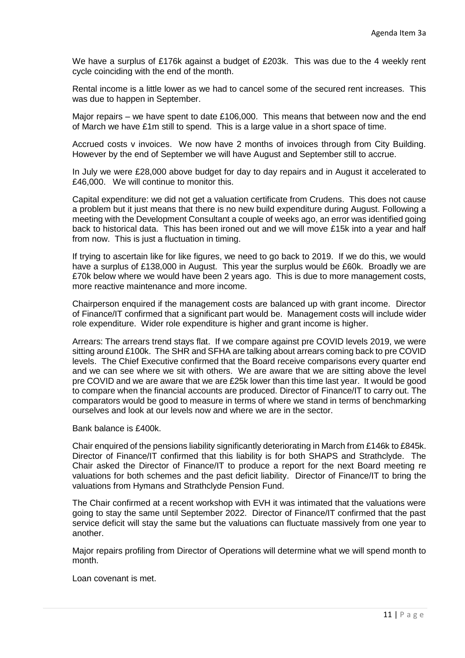We have a surplus of £176k against a budget of £203k. This was due to the 4 weekly rent cycle coinciding with the end of the month.

Rental income is a little lower as we had to cancel some of the secured rent increases. This was due to happen in September.

Major repairs – we have spent to date £106,000. This means that between now and the end of March we have £1m still to spend. This is a large value in a short space of time.

Accrued costs v invoices. We now have 2 months of invoices through from City Building. However by the end of September we will have August and September still to accrue.

In July we were £28,000 above budget for day to day repairs and in August it accelerated to £46,000. We will continue to monitor this.

Capital expenditure: we did not get a valuation certificate from Crudens. This does not cause a problem but it just means that there is no new build expenditure during August. Following a meeting with the Development Consultant a couple of weeks ago, an error was identified going back to historical data. This has been ironed out and we will move £15k into a year and half from now. This is just a fluctuation in timing.

If trying to ascertain like for like figures, we need to go back to 2019. If we do this, we would have a surplus of £138,000 in August. This year the surplus would be £60k. Broadly we are £70k below where we would have been 2 years ago. This is due to more management costs, more reactive maintenance and more income.

Chairperson enquired if the management costs are balanced up with grant income. Director of Finance/IT confirmed that a significant part would be. Management costs will include wider role expenditure. Wider role expenditure is higher and grant income is higher.

Arrears: The arrears trend stays flat. If we compare against pre COVID levels 2019, we were sitting around £100k. The SHR and SFHA are talking about arrears coming back to pre COVID levels. The Chief Executive confirmed that the Board receive comparisons every quarter end and we can see where we sit with others. We are aware that we are sitting above the level pre COVID and we are aware that we are £25k lower than this time last year. It would be good to compare when the financial accounts are produced. Director of Finance/IT to carry out. The comparators would be good to measure in terms of where we stand in terms of benchmarking ourselves and look at our levels now and where we are in the sector.

Bank balance is £400k.

Chair enquired of the pensions liability significantly deteriorating in March from £146k to £845k. Director of Finance/IT confirmed that this liability is for both SHAPS and Strathclyde. The Chair asked the Director of Finance/IT to produce a report for the next Board meeting re valuations for both schemes and the past deficit liability. Director of Finance/IT to bring the valuations from Hymans and Strathclyde Pension Fund.

The Chair confirmed at a recent workshop with EVH it was intimated that the valuations were going to stay the same until September 2022. Director of Finance/IT confirmed that the past service deficit will stay the same but the valuations can fluctuate massively from one year to another.

Major repairs profiling from Director of Operations will determine what we will spend month to month.

Loan covenant is met.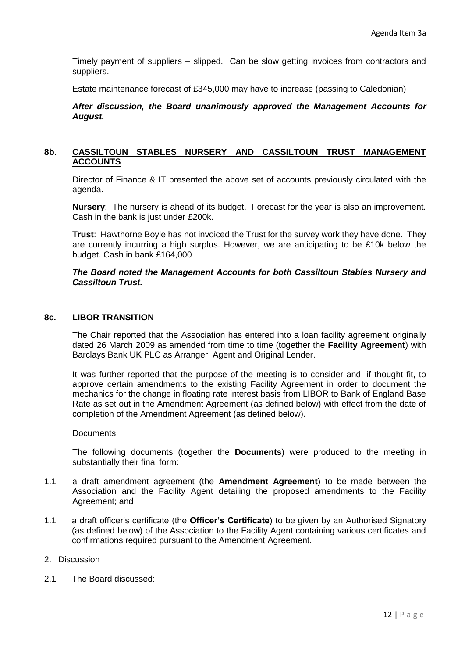Timely payment of suppliers – slipped. Can be slow getting invoices from contractors and suppliers.

Estate maintenance forecast of £345,000 may have to increase (passing to Caledonian)

*After discussion, the Board unanimously approved the Management Accounts for August.*

# **8b. CASSILTOUN STABLES NURSERY AND CASSILTOUN TRUST MANAGEMENT ACCOUNTS**

Director of Finance & IT presented the above set of accounts previously circulated with the agenda.

**Nursery**: The nursery is ahead of its budget. Forecast for the year is also an improvement. Cash in the bank is just under £200k.

**Trust**: Hawthorne Boyle has not invoiced the Trust for the survey work they have done. They are currently incurring a high surplus. However, we are anticipating to be £10k below the budget. Cash in bank £164,000

#### *The Board noted the Management Accounts for both Cassiltoun Stables Nursery and Cassiltoun Trust.*

#### **8c. LIBOR TRANSITION**

The Chair reported that the Association has entered into a loan facility agreement originally dated 26 March 2009 as amended from time to time (together the **Facility Agreement**) with Barclays Bank UK PLC as Arranger, Agent and Original Lender.

It was further reported that the purpose of the meeting is to consider and, if thought fit, to approve certain amendments to the existing Facility Agreement in order to document the mechanics for the change in floating rate interest basis from LIBOR to Bank of England Base Rate as set out in the Amendment Agreement (as defined below) with effect from the date of completion of the Amendment Agreement (as defined below).

#### **Documents**

The following documents (together the **Documents**) were produced to the meeting in substantially their final form:

- 1.1 a draft amendment agreement (the **Amendment Agreement**) to be made between the Association and the Facility Agent detailing the proposed amendments to the Facility Agreement; and
- 1.1 a draft officer's certificate (the **Officer's Certificate**) to be given by an Authorised Signatory (as defined below) of the Association to the Facility Agent containing various certificates and confirmations required pursuant to the Amendment Agreement.

#### 2. Discussion

2.1 The Board discussed: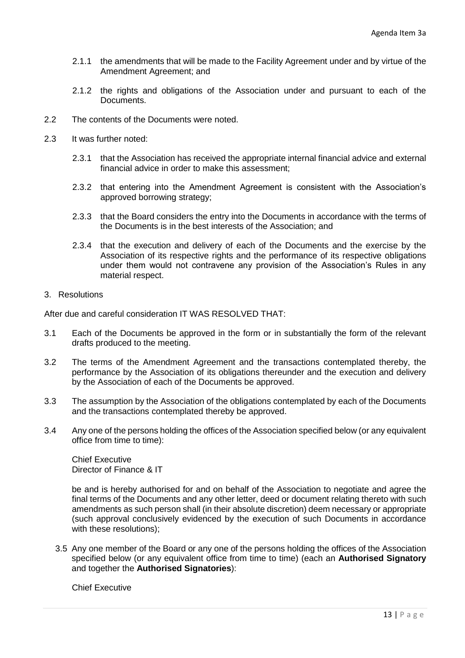- 2.1.1 the amendments that will be made to the Facility Agreement under and by virtue of the Amendment Agreement; and
- 2.1.2 the rights and obligations of the Association under and pursuant to each of the Documents.
- 2.2 The contents of the Documents were noted.
- 2.3 It was further noted:
	- 2.3.1 that the Association has received the appropriate internal financial advice and external financial advice in order to make this assessment;
	- 2.3.2 that entering into the Amendment Agreement is consistent with the Association's approved borrowing strategy;
	- 2.3.3 that the Board considers the entry into the Documents in accordance with the terms of the Documents is in the best interests of the Association; and
	- 2.3.4 that the execution and delivery of each of the Documents and the exercise by the Association of its respective rights and the performance of its respective obligations under them would not contravene any provision of the Association's Rules in any material respect.

### 3. Resolutions

After due and careful consideration IT WAS RESOLVED THAT:

- 3.1 Each of the Documents be approved in the form or in substantially the form of the relevant drafts produced to the meeting.
- 3.2 The terms of the Amendment Agreement and the transactions contemplated thereby, the performance by the Association of its obligations thereunder and the execution and delivery by the Association of each of the Documents be approved.
- 3.3 The assumption by the Association of the obligations contemplated by each of the Documents and the transactions contemplated thereby be approved.
- 3.4 Any one of the persons holding the offices of the Association specified below (or any equivalent office from time to time):

Chief Executive Director of Finance & IT

be and is hereby authorised for and on behalf of the Association to negotiate and agree the final terms of the Documents and any other letter, deed or document relating thereto with such amendments as such person shall (in their absolute discretion) deem necessary or appropriate (such approval conclusively evidenced by the execution of such Documents in accordance with these resolutions);

3.5 Any one member of the Board or any one of the persons holding the offices of the Association specified below (or any equivalent office from time to time) (each an **Authorised Signatory**  and together the **Authorised Signatories**):

Chief Executive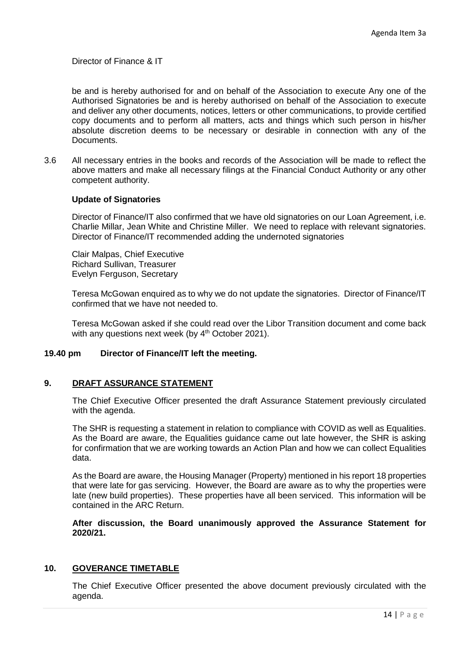Director of Finance & IT

be and is hereby authorised for and on behalf of the Association to execute Any one of the Authorised Signatories be and is hereby authorised on behalf of the Association to execute and deliver any other documents, notices, letters or other communications, to provide certified copy documents and to perform all matters, acts and things which such person in his/her absolute discretion deems to be necessary or desirable in connection with any of the Documents.

3.6 All necessary entries in the books and records of the Association will be made to reflect the above matters and make all necessary filings at the Financial Conduct Authority or any other competent authority.

#### **Update of Signatories**

Director of Finance/IT also confirmed that we have old signatories on our Loan Agreement, i.e. Charlie Millar, Jean White and Christine Miller. We need to replace with relevant signatories. Director of Finance/IT recommended adding the undernoted signatories

Clair Malpas, Chief Executive Richard Sullivan, Treasurer Evelyn Ferguson, Secretary

Teresa McGowan enquired as to why we do not update the signatories. Director of Finance/IT confirmed that we have not needed to.

Teresa McGowan asked if she could read over the Libor Transition document and come back with any questions next week (by  $4<sup>th</sup>$  October 2021).

#### **19.40 pm Director of Finance/IT left the meeting.**

#### **9. DRAFT ASSURANCE STATEMENT**

The Chief Executive Officer presented the draft Assurance Statement previously circulated with the agenda.

The SHR is requesting a statement in relation to compliance with COVID as well as Equalities. As the Board are aware, the Equalities guidance came out late however, the SHR is asking for confirmation that we are working towards an Action Plan and how we can collect Equalities data.

As the Board are aware, the Housing Manager (Property) mentioned in his report 18 properties that were late for gas servicing. However, the Board are aware as to why the properties were late (new build properties). These properties have all been serviced. This information will be contained in the ARC Return.

**After discussion, the Board unanimously approved the Assurance Statement for 2020/21.**

#### **10. GOVERANCE TIMETABLE**

The Chief Executive Officer presented the above document previously circulated with the agenda.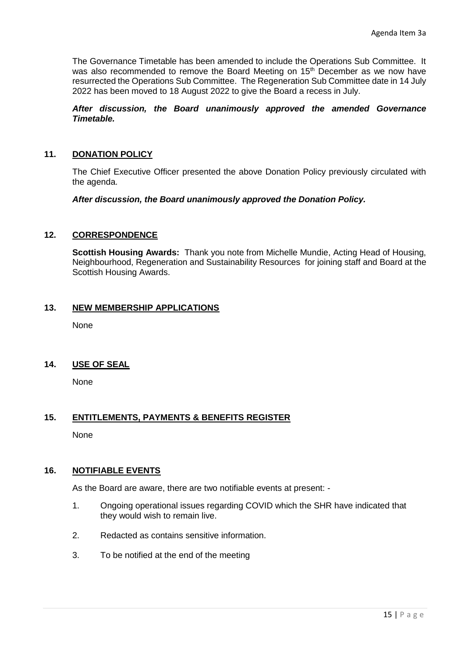The Governance Timetable has been amended to include the Operations Sub Committee. It was also recommended to remove the Board Meeting on 15<sup>th</sup> December as we now have resurrected the Operations Sub Committee. The Regeneration Sub Committee date in 14 July 2022 has been moved to 18 August 2022 to give the Board a recess in July.

# *After discussion, the Board unanimously approved the amended Governance Timetable.*

# **11. DONATION POLICY**

The Chief Executive Officer presented the above Donation Policy previously circulated with the agenda.

*After discussion, the Board unanimously approved the Donation Policy.*

# **12. CORRESPONDENCE**

**Scottish Housing Awards:** Thank you note from Michelle Mundie, Acting Head of Housing, Neighbourhood, Regeneration and Sustainability Resources for joining staff and Board at the Scottish Housing Awards.

#### **13. NEW MEMBERSHIP APPLICATIONS**

None

# **14. USE OF SEAL**

None

# **15. ENTITLEMENTS, PAYMENTS & BENEFITS REGISTER**

None

# **16. NOTIFIABLE EVENTS**

As the Board are aware, there are two notifiable events at present: -

- 1. Ongoing operational issues regarding COVID which the SHR have indicated that they would wish to remain live.
- 2. Redacted as contains sensitive information.
- 3. To be notified at the end of the meeting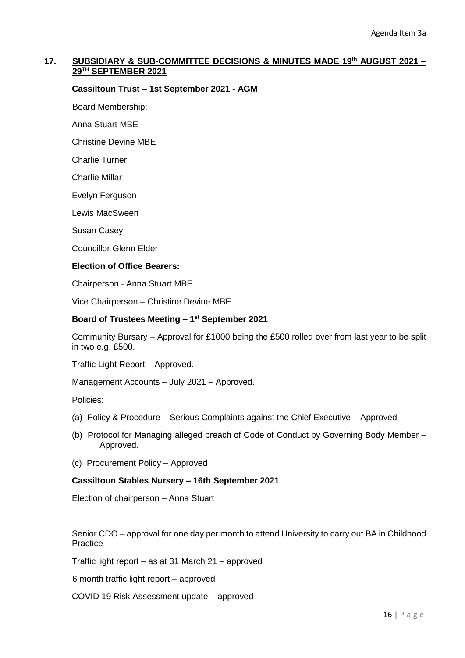# **17. SUBSIDIARY & SUB-COMMITTEE DECISIONS & MINUTES MADE 19th AUGUST 2021 – 29TH SEPTEMBER 2021**

#### **Cassiltoun Trust – 1st September 2021 - AGM**

Board Membership:

Anna Stuart MBE

Christine Devine MBE

Charlie Turner

Charlie Millar

Evelyn Ferguson

Lewis MacSween

Susan Casey

Councillor Glenn Elder

#### **Election of Office Bearers:**

Chairperson - Anna Stuart MBE

Vice Chairperson – Christine Devine MBE

#### **Board of Trustees Meeting – 1 st September 2021**

Community Bursary – Approval for £1000 being the £500 rolled over from last year to be split in two e.g. £500.

Traffic Light Report – Approved.

Management Accounts – July 2021 – Approved.

Policies:

- (a) Policy & Procedure Serious Complaints against the Chief Executive Approved
- (b) Protocol for Managing alleged breach of Code of Conduct by Governing Body Member Approved.
- (c) Procurement Policy Approved

#### **Cassiltoun Stables Nursery – 16th September 2021**

Election of chairperson – Anna Stuart

Senior CDO – approval for one day per month to attend University to carry out BA in Childhood Practice

Traffic light report – as at 31 March 21 – approved

6 month traffic light report – approved

COVID 19 Risk Assessment update – approved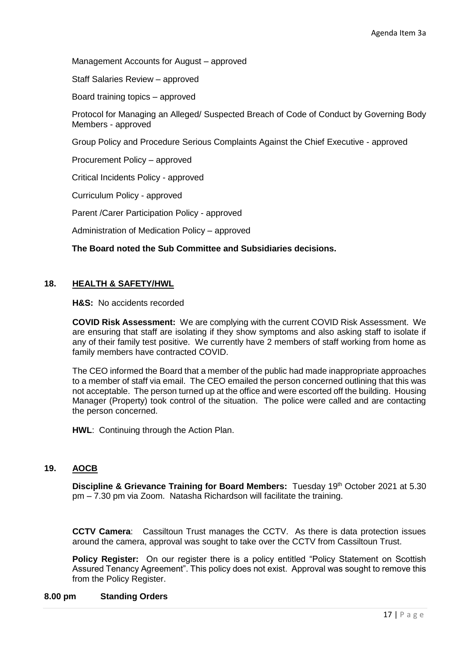Management Accounts for August – approved

Staff Salaries Review – approved

Board training topics – approved

Protocol for Managing an Alleged/ Suspected Breach of Code of Conduct by Governing Body Members - approved

Group Policy and Procedure Serious Complaints Against the Chief Executive - approved

Procurement Policy – approved

Critical Incidents Policy - approved

Curriculum Policy - approved

Parent /Carer Participation Policy - approved

Administration of Medication Policy – approved

#### **The Board noted the Sub Committee and Subsidiaries decisions.**

#### **18. HEALTH & SAFETY/HWL**

**H&S:** No accidents recorded

**COVID Risk Assessment:** We are complying with the current COVID Risk Assessment. We are ensuring that staff are isolating if they show symptoms and also asking staff to isolate if any of their family test positive. We currently have 2 members of staff working from home as family members have contracted COVID.

The CEO informed the Board that a member of the public had made inappropriate approaches to a member of staff via email. The CEO emailed the person concerned outlining that this was not acceptable. The person turned up at the office and were escorted off the building. Housing Manager (Property) took control of the situation. The police were called and are contacting the person concerned.

**HWL**: Continuing through the Action Plan.

# **19. AOCB**

**Discipline & Grievance Training for Board Members:** Tuesday 19th October 2021 at 5.30 pm – 7.30 pm via Zoom. Natasha Richardson will facilitate the training.

**CCTV Camera**: Cassiltoun Trust manages the CCTV. As there is data protection issues around the camera, approval was sought to take over the CCTV from Cassiltoun Trust.

**Policy Register:** On our register there is a policy entitled "Policy Statement on Scottish Assured Tenancy Agreement". This policy does not exist. Approval was sought to remove this from the Policy Register.

#### **8.00 pm Standing Orders**